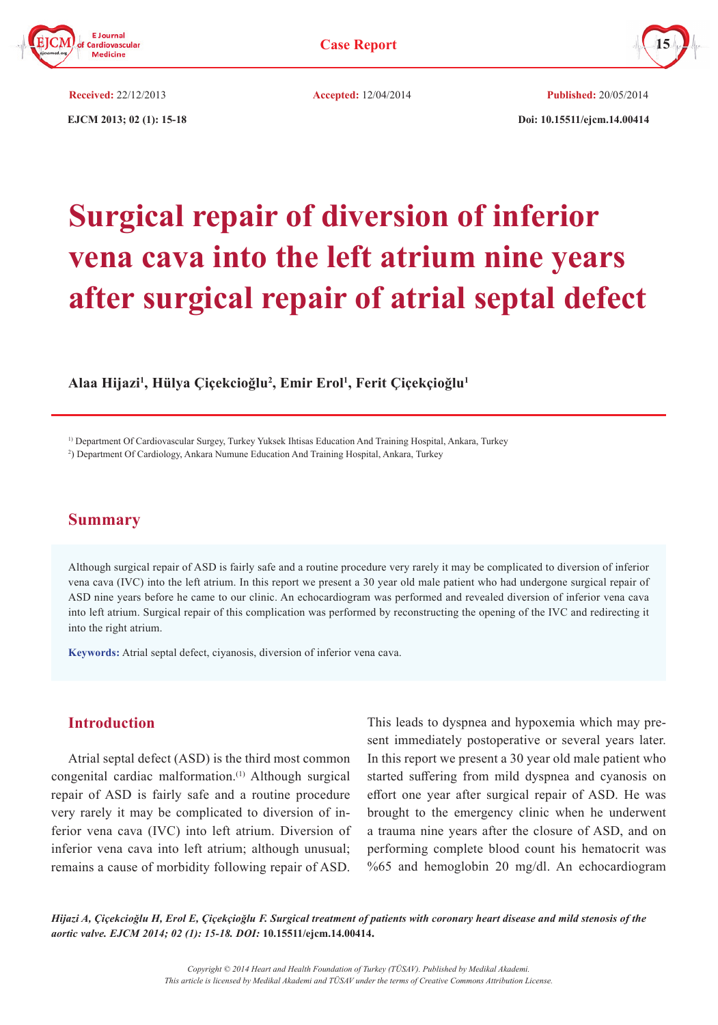



**Received:** 22/12/2013 **Accepted:** 12/04/2014 **Published:** 20/05/2014

 **EJCM 2013; 02 (1): 15-18 Doi: 10.15511/ejcm.14.00414**

# **Surgical repair of diversion of inferior vena cava into the left atrium nine years after surgical repair of atrial septal defect**

**Alaa Hijazi1 , Hülya Çiçekcioğlu<sup>2</sup> , Emir Erol1 , Ferit Çiçekçioğlu<sup>1</sup>**

1) Department Of Cardiovascular Surgey, Turkey Yuksek Ihtisas Education And Training Hospital, Ankara, Turkey

2 ) Department Of Cardiology, Ankara Numune Education And Training Hospital, Ankara, Turkey

## **Summary**

Although surgical repair of ASD is fairly safe and a routine procedure very rarely it may be complicated to diversion of inferior vena cava (IVC) into the left atrium. In this report we present a 30 year old male patient who had undergone surgical repair of ASD nine years before he came to our clinic. An echocardiogram was performed and revealed diversion of inferior vena cava into left atrium. Surgical repair of this complication was performed by reconstructing the opening of the IVC and redirecting it into the right atrium.

**Keywords:** Atrial septal defect, ciyanosis, diversion of inferior vena cava.

## **Introduction**

Atrial septal defect (ASD) is the third most common congenital cardiac malformation.(1) Although surgical repair of ASD is fairly safe and a routine procedure very rarely it may be complicated to diversion of inferior vena cava (IVC) into left atrium. Diversion of inferior vena cava into left atrium; although unusual; remains a cause of morbidity following repair of ASD.

This leads to dyspnea and hypoxemia which may present immediately postoperative or several years later. In this report we present a 30 year old male patient who started suffering from mild dyspnea and cyanosis on effort one year after surgical repair of ASD. He was brought to the emergency clinic when he underwent a trauma nine years after the closure of ASD, and on performing complete blood count his hematocrit was %65 and hemoglobin 20 mg/dl. An echocardiogram

*Hijazi A, Çiçekcioğlu H, Erol E, Çiçekçioğlu F. Surgical treatment of patients with coronary heart disease and mild stenosis of the aortic valve. EJCM 2014; 02 (1): 15-18. DOI:* **10.15511/ejcm.14.00414.**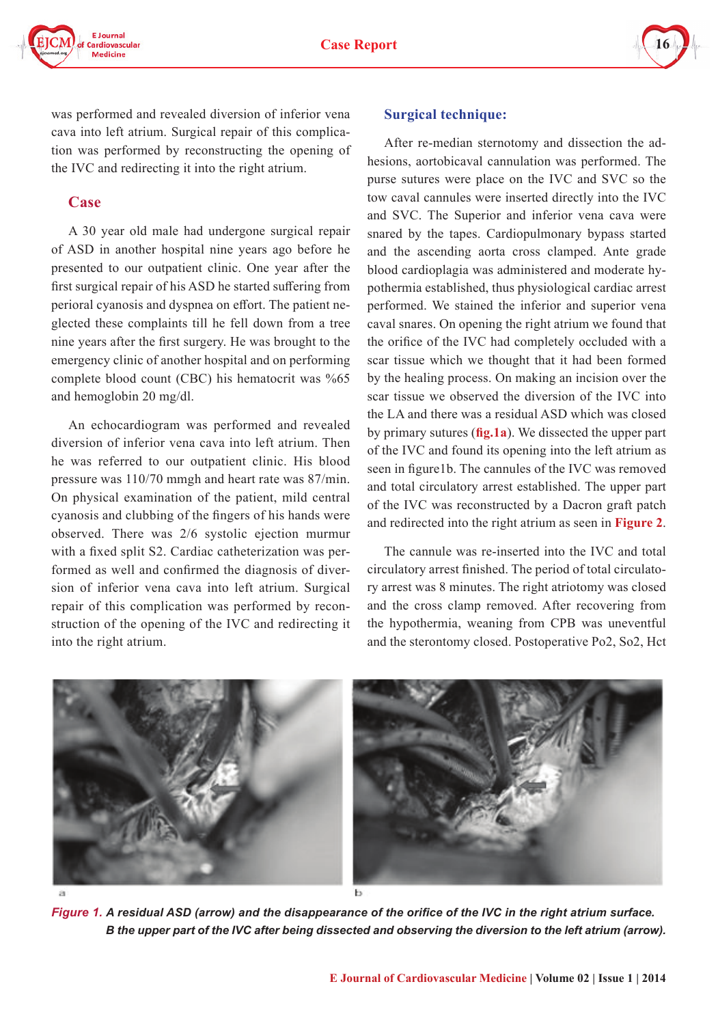



was performed and revealed diversion of inferior vena cava into left atrium. Surgical repair of this complication was performed by reconstructing the opening of the IVC and redirecting it into the right atrium.

## **Case**

A 30 year old male had undergone surgical repair of ASD in another hospital nine years ago before he presented to our outpatient clinic. One year after the first surgical repair of his ASD he started suffering from perioral cyanosis and dyspnea on effort. The patient neglected these complaints till he fell down from a tree nine years after the first surgery. He was brought to the emergency clinic of another hospital and on performing complete blood count (CBC) his hematocrit was %65 and hemoglobin 20 mg/dl.

An echocardiogram was performed and revealed diversion of inferior vena cava into left atrium. Then he was referred to our outpatient clinic. His blood pressure was 110/70 mmgh and heart rate was 87/min. On physical examination of the patient, mild central cyanosis and clubbing of the fingers of his hands were observed. There was 2/6 systolic ejection murmur with a fixed split S2. Cardiac catheterization was performed as well and confirmed the diagnosis of diversion of inferior vena cava into left atrium. Surgical repair of this complication was performed by reconstruction of the opening of the IVC and redirecting it into the right atrium.

#### **Surgical technique:**

After re-median sternotomy and dissection the adhesions, aortobicaval cannulation was performed. The purse sutures were place on the IVC and SVC so the tow caval cannules were inserted directly into the IVC and SVC. The Superior and inferior vena cava were snared by the tapes. Cardiopulmonary bypass started and the ascending aorta cross clamped. Ante grade blood cardioplagia was administered and moderate hypothermia established, thus physiological cardiac arrest performed. We stained the inferior and superior vena caval snares. On opening the right atrium we found that the orifice of the IVC had completely occluded with a scar tissue which we thought that it had been formed by the healing process. On making an incision over the scar tissue we observed the diversion of the IVC into the LA and there was a residual ASD which was closed by primary sutures (**fig.1a**). We dissected the upper part of the IVC and found its opening into the left atrium as seen in figure1b. The cannules of the IVC was removed and total circulatory arrest established. The upper part of the IVC was reconstructed by a Dacron graft patch and redirected into the right atrium as seen in **Figure 2**.

The cannule was re-inserted into the IVC and total circulatory arrest finished. The period of total circulatory arrest was 8 minutes. The right atriotomy was closed and the cross clamp removed. After recovering from the hypothermia, weaning from CPB was uneventful and the sterontomy closed. Postoperative Po2, So2, Hct



*Figure 1. A residual ASD (arrow) and the disappearance of the orifice of the IVC in the right atrium surface. B the upper part of the IVC after being dissected and observing the diversion to the left atrium (arrow).*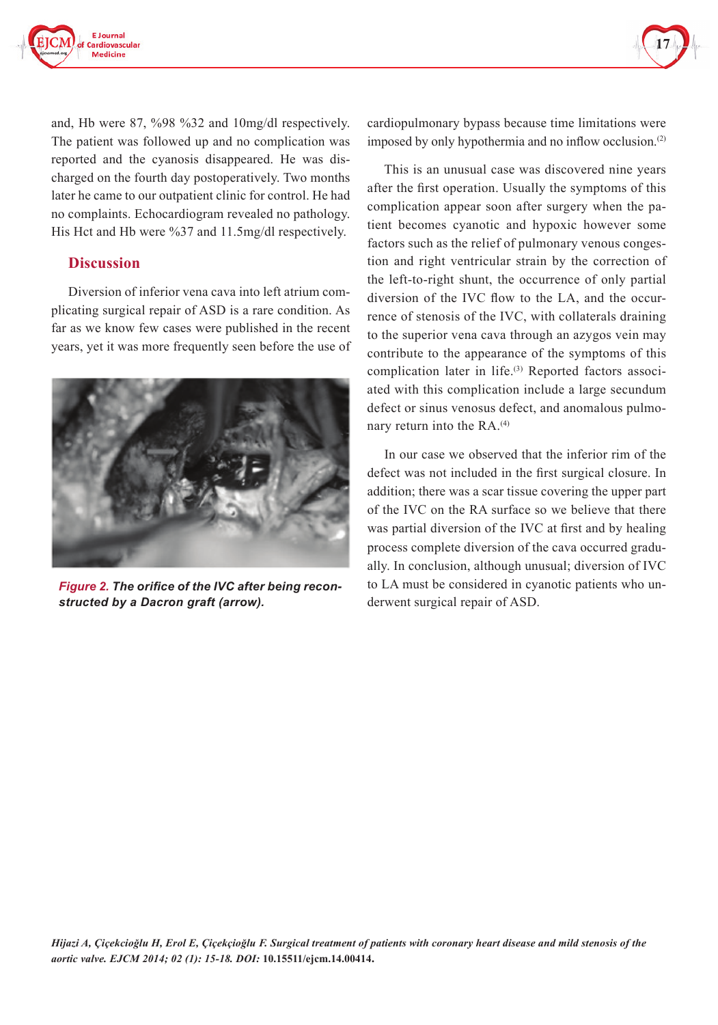



and, Hb were 87, %98 %32 and 10mg/dl respectively. The patient was followed up and no complication was reported and the cyanosis disappeared. He was discharged on the fourth day postoperatively. Two months later he came to our outpatient clinic for control. He had no complaints. Echocardiogram revealed no pathology. His Hct and Hb were %37 and 11.5mg/dl respectively.

#### **Discussion**

Diversion of inferior vena cava into left atrium complicating surgical repair of ASD is a rare condition. As far as we know few cases were published in the recent years, yet it was more frequently seen before the use of



*Figure 2. The orifice of the IVC after being reconstructed by a Dacron graft (arrow).*

cardiopulmonary bypass because time limitations were imposed by only hypothermia and no inflow occlusion.<sup>(2)</sup>

This is an unusual case was discovered nine years after the first operation. Usually the symptoms of this complication appear soon after surgery when the patient becomes cyanotic and hypoxic however some factors such as the relief of pulmonary venous congestion and right ventricular strain by the correction of the left-to-right shunt, the occurrence of only partial diversion of the IVC flow to the LA, and the occurrence of stenosis of the IVC, with collaterals draining to the superior vena cava through an azygos vein may contribute to the appearance of the symptoms of this complication later in life.<sup>(3)</sup> Reported factors associated with this complication include a large secundum defect or sinus venosus defect, and anomalous pulmonary return into the RA.<sup>(4)</sup>

In our case we observed that the inferior rim of the defect was not included in the first surgical closure. In addition; there was a scar tissue covering the upper part of the IVC on the RA surface so we believe that there was partial diversion of the IVC at first and by healing process complete diversion of the cava occurred gradually. In conclusion, although unusual; diversion of IVC to LA must be considered in cyanotic patients who underwent surgical repair of ASD.